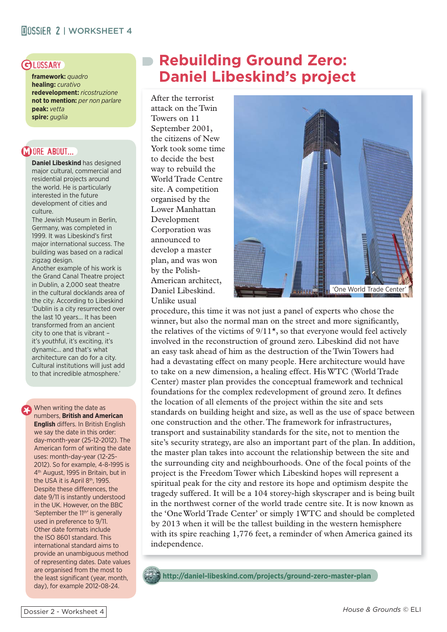**framework:** *quadro* **healing:** *curativo* **redevelopment:** *ricostruzione* **not to mention:** *per non parlare* **peak:** *vetta* **spire:** *guglia*

#### **MORE ABOUT...**

**Daniel Libeskind** has designed major cultural, commercial and residential projects around the world. He is particularly interested in the future development of cities and culture.

The Jewish Museum in Berlin, Germany, was completed in 1999. It was Libeskind's first major international success. The building was based on a radical zigzag design.

Another example of his work is the Grand Canal Theatre project in Dublin, a 2,000 seat theatre in the cultural docklands area of the city. According to Libeskind 'Dublin is a city resurrected over the last 10 years... It has been transformed from an ancient city to one that is vibrant – it's youthful, it's exciting, it's dynamic... and that's what architecture can do for a city. Cultural institutions will just add to that incredible atmosphere.'

#### When writing the date as numbers, **British and American English** differs. In British English we say the date in this order: day-month-year (25-12-2012). The American form of writing the date uses: month-day-year (12-25- 2012). So for example, 4-8-1995 is 4th August, 1995 in Britain, but in the USA it is April 8<sup>th</sup>, 1995. Despite these differences, the date 9/11 is instantly understood in the UK. However, on the BBC 'September the 11<sup>th</sup>' is generally used in preference to 9/11. Other date formats include the ISO 8601 standard. This international standard aims to provide an unambiguous method of representing dates. Date values are organised from the most to

the least significant (year, month, day), for example 2012-08-24.

# GLOSSARY **DRebuilding Ground Zero: Daniel Libeskind's project**

After the terrorist attack on the Twin Towers on 11 September 2001, the citizens of New York took some time to decide the best way to rebuild the World Trade Centre site. A competition organised by the Lower Manhattan Development Corporation was announced to develop a master plan, and was won by the Polish-American architect, Daniel Libeskind. Unlike usual



procedure, this time it was not just a panel of experts who chose the winner, but also the normal man on the street and more significantly, the relatives of the victims of  $9/11<sup>*</sup>$ , so that everyone would feel actively involved in the reconstruction of ground zero. Libeskind did not have an easy task ahead of him as the destruction of the Twin Towers had had a devastating effect on many people. Here architecture would have to take on a new dimension, a healing effect. His WTC (World Trade Center) master plan provides the conceptual framework and technical foundations for the complex redevelopment of ground zero. It defines the location of all elements of the project within the site and sets standards on building height and size, as well as the use of space between one construction and the other. The framework for infrastructures, transport and sustainability standards for the site, not to mention the site's security strategy, are also an important part of the plan. In addition, the master plan takes into account the relationship between the site and the surrounding city and neighbourhoods. One of the focal points of the project is the Freedom Tower which Libeskind hopes will represent a spiritual peak for the city and restore its hope and optimism despite the tragedy suffered. It will be a 104 storey-high skyscraper and is being built in the northwest corner of the world trade centre site. It is now known as the 'One World Trade Center' or simply 1WTC and should be completed by 2013 when it will be the tallest building in the western hemisphere with its spire reaching 1,776 feet, a reminder of when America gained its independence.